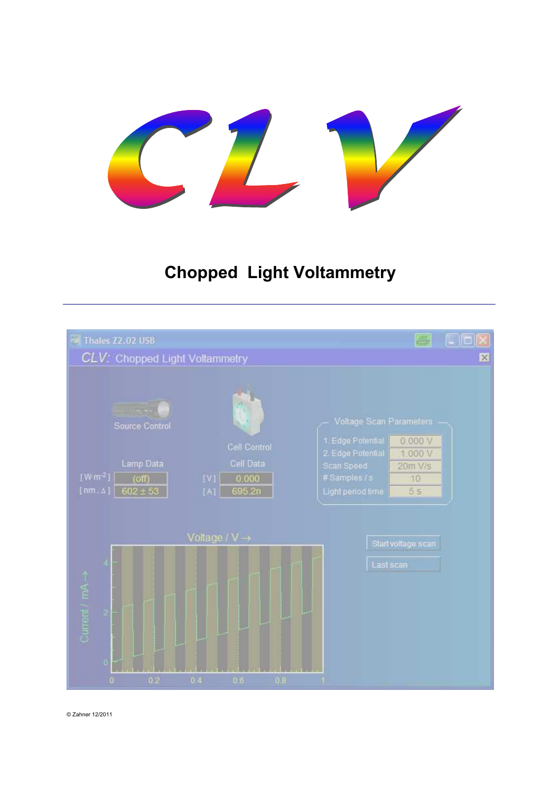

# **Chopped Light Voltammetry**



© Zahner 12/2011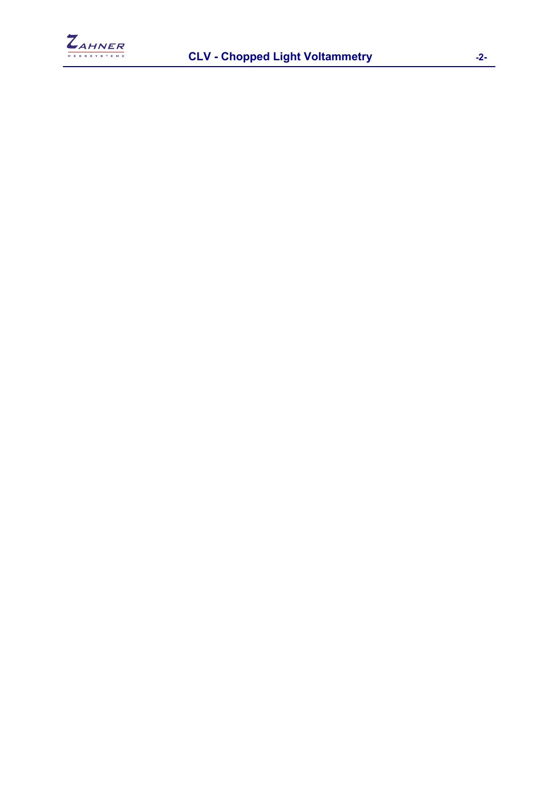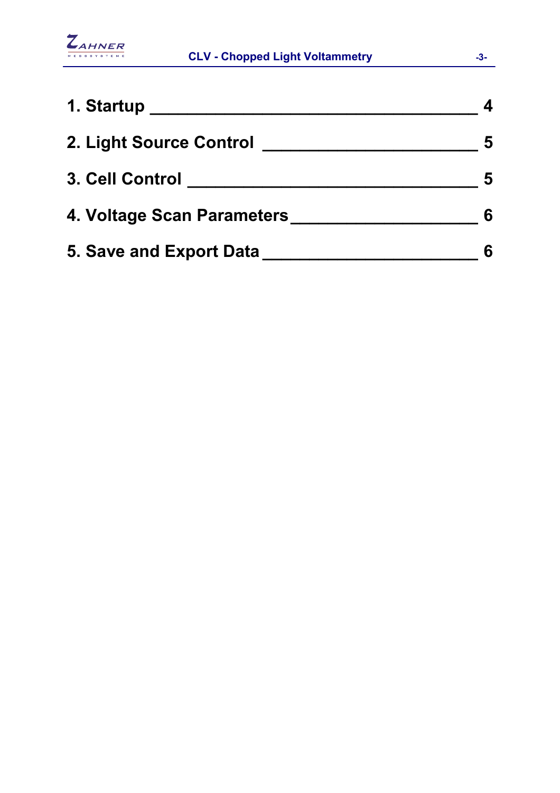

| 1. Startup                 |   |
|----------------------------|---|
| 2. Light Source Control    | 5 |
| 3. Cell Control            | 5 |
| 4. Voltage Scan Parameters | 6 |
| 5. Save and Export Data    |   |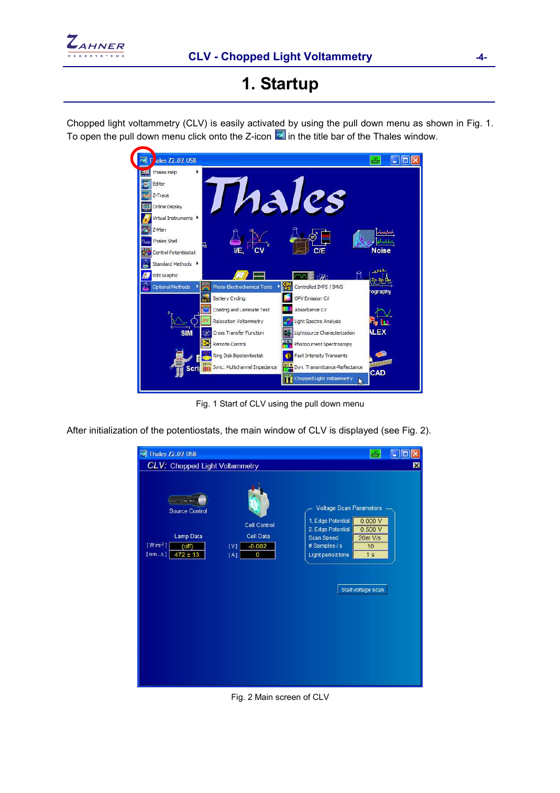

## **1. Startup**

Chopped light voltammetry (CLV) is easily activated by using the pull down menu as shown in Fig. 1. To open the pull down menu click onto the Z-icon  $\mathbb Z$  in the title bar of the Thales window.



Fig. 1 Start of CLV using the pull down menu

After initialization of the potentiostats, the main window of CLV is displayed (see Fig. 2).

| Thales Z2.02 USB                                                                                                 |                                                                 | LS.<br>i in 1                                                                                                                                                                                                           |
|------------------------------------------------------------------------------------------------------------------|-----------------------------------------------------------------|-------------------------------------------------------------------------------------------------------------------------------------------------------------------------------------------------------------------------|
| CLV: Chopped Light Voltammetry                                                                                   |                                                                 | м                                                                                                                                                                                                                       |
| <b>VON NO</b><br><b>Source Control</b><br>Lamp Data<br>$[Wm^2]$<br>$($ off $)$<br>$472 \pm 13$<br>$[nm, \Delta]$ | <b>Cell Control</b><br>Cell Data<br> V <br>$-0.002$<br>[A]<br>0 | <b>Voltage Scan Parameters</b><br>1. Edge Potential<br>0.000V<br>2. Edge Potential<br>0.500V<br><b>Scan Speed</b><br><b>20m V/s</b><br># Samples / s<br>10<br>1 <sub>s</sub><br>Light period time<br>Start voltage scan |

Fig. 2 Main screen of CLV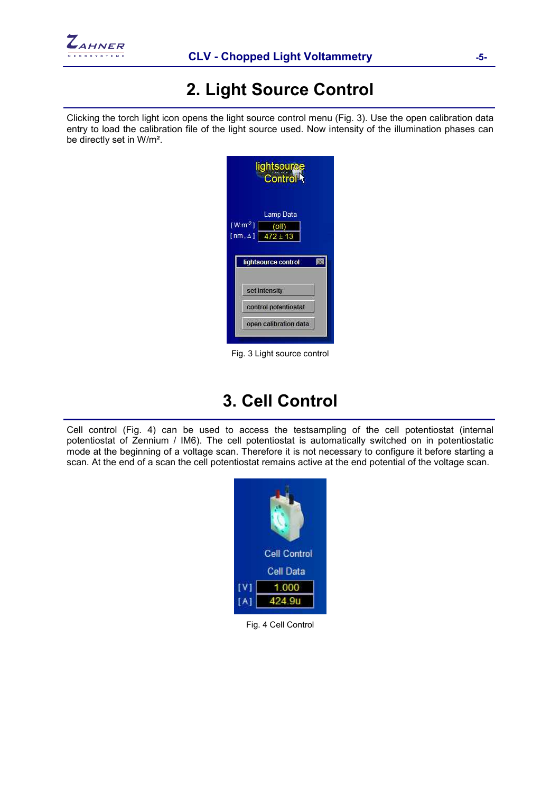

#### **2. Light Source Control**

Clicking the torch light icon opens the light source control menu (Fig. 3). Use the open calibration data entry to load the calibration file of the light source used. Now intensity of the illumination phases can be directly set in W/m².

|  |               |             | lightsourg<br>Control     |                       |                  |  |
|--|---------------|-------------|---------------------------|-----------------------|------------------|--|
|  |               | $($ off $)$ | Lamp Data<br>$472 \pm 13$ |                       |                  |  |
|  |               |             | lightsource control       |                       | $\triangleright$ |  |
|  | set intensity |             |                           |                       |                  |  |
|  |               |             |                           | control potentiostat  |                  |  |
|  |               |             |                           | open calibration data |                  |  |
|  |               |             |                           |                       |                  |  |

Fig. 3 Light source control

#### **3. Cell Control**

Cell control (Fig. 4) can be used to access the testsampling of the cell potentiostat (internal potentiostat of Zennium / IM6). The cell potentiostat is automatically switched on in potentiostatic mode at the beginning of a voltage scan. Therefore it is not necessary to configure it before starting a scan. At the end of a scan the cell potentiostat remains active at the end potential of the voltage scan.



Fig. 4 Cell Control